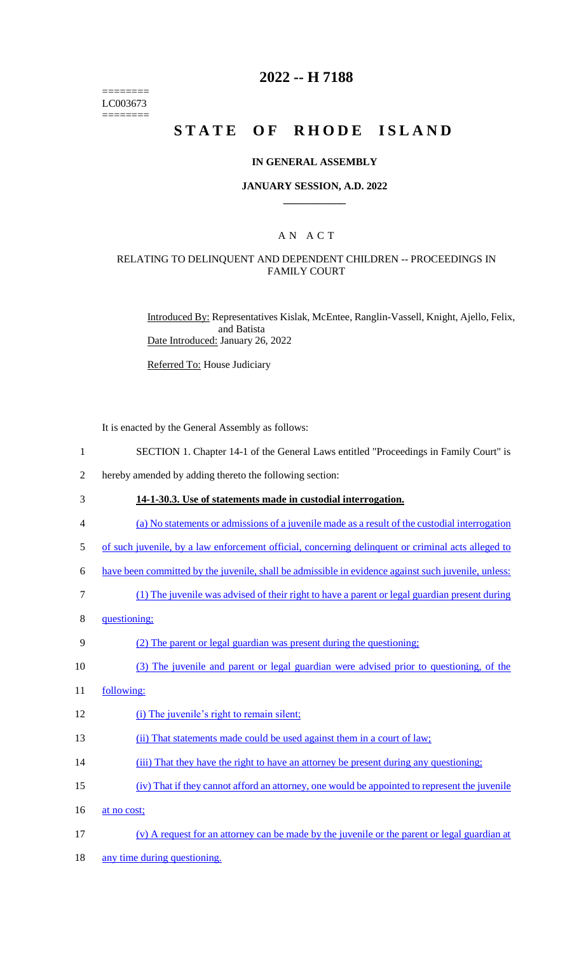======== LC003673 ========

## **2022 -- H 7188**

# **STATE OF RHODE ISLAND**

#### **IN GENERAL ASSEMBLY**

#### **JANUARY SESSION, A.D. 2022 \_\_\_\_\_\_\_\_\_\_\_\_**

### A N A C T

### RELATING TO DELINQUENT AND DEPENDENT CHILDREN -- PROCEEDINGS IN FAMILY COURT

Introduced By: Representatives Kislak, McEntee, Ranglin-Vassell, Knight, Ajello, Felix, and Batista Date Introduced: January 26, 2022

Referred To: House Judiciary

It is enacted by the General Assembly as follows:

- 1 SECTION 1. Chapter 14-1 of the General Laws entitled "Proceedings in Family Court" is
- 2 hereby amended by adding thereto the following section:
- 3 **14-1-30.3. Use of statements made in custodial interrogation.**
- 4 (a) No statements or admissions of a juvenile made as a result of the custodial interrogation
- 5 of such juvenile, by a law enforcement official, concerning delinquent or criminal acts alleged to
- 6 have been committed by the juvenile, shall be admissible in evidence against such juvenile, unless:
- 7 (1) The juvenile was advised of their right to have a parent or legal guardian present during
- 8 questioning;

#### 9 (2) The parent or legal guardian was present during the questioning;

- 10 (3) The juvenile and parent or legal guardian were advised prior to questioning, of the
- 11 following:
- 12 (i) The juvenile's right to remain silent;
- 13 (ii) That statements made could be used against them in a court of law;
- 14 (iii) That they have the right to have an attorney be present during any questioning;
- 15 (iv) That if they cannot afford an attorney, one would be appointed to represent the juvenile
- 16 at no cost;
- 17 (v) A request for an attorney can be made by the juvenile or the parent or legal guardian at
- 18 any time during questioning.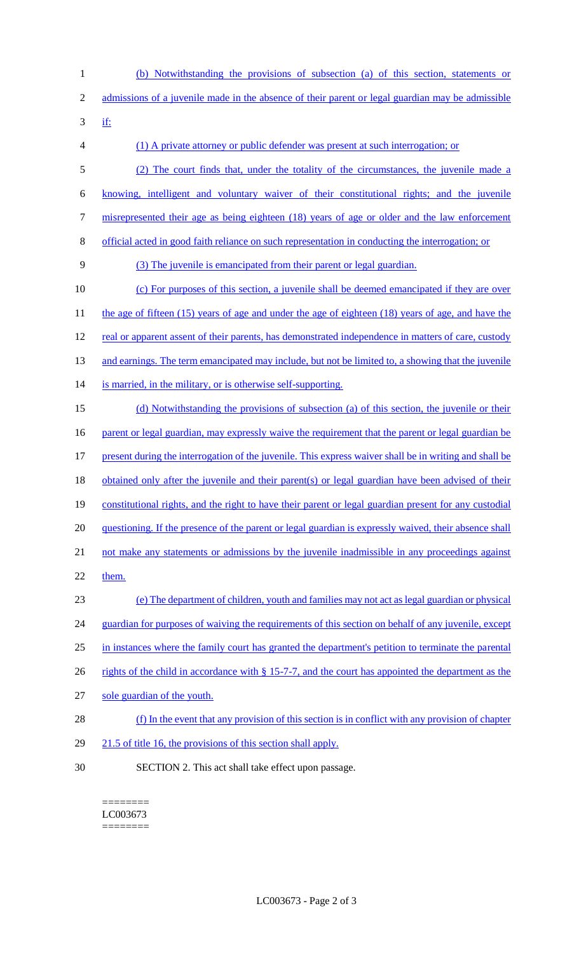1 (b) Notwithstanding the provisions of subsection (a) of this section, statements or 2 admissions of a juvenile made in the absence of their parent or legal guardian may be admissible 3 if: 4 (1) A private attorney or public defender was present at such interrogation; or 5 (2) The court finds that, under the totality of the circumstances, the juvenile made a 6 knowing, intelligent and voluntary waiver of their constitutional rights; and the juvenile 7 misrepresented their age as being eighteen (18) years of age or older and the law enforcement 8 official acted in good faith reliance on such representation in conducting the interrogation; or 9 (3) The juvenile is emancipated from their parent or legal guardian. 10 (c) For purposes of this section, a juvenile shall be deemed emancipated if they are over 11 the age of fifteen (15) years of age and under the age of eighteen (18) years of age, and have the 12 real or apparent assent of their parents, has demonstrated independence in matters of care, custody 13 and earnings. The term emancipated may include, but not be limited to, a showing that the juvenile 14 is married, in the military, or is otherwise self-supporting. 15 (d) Notwithstanding the provisions of subsection (a) of this section, the juvenile or their 16 parent or legal guardian, may expressly waive the requirement that the parent or legal guardian be 17 present during the interrogation of the juvenile. This express waiver shall be in writing and shall be 18 obtained only after the juvenile and their parent(s) or legal guardian have been advised of their 19 constitutional rights, and the right to have their parent or legal guardian present for any custodial 20 questioning. If the presence of the parent or legal guardian is expressly waived, their absence shall 21 not make any statements or admissions by the juvenile inadmissible in any proceedings against 22 them. 23 (e) The department of children, youth and families may not act as legal guardian or physical 24 guardian for purposes of waiving the requirements of this section on behalf of any juvenile, except 25 in instances where the family court has granted the department's petition to terminate the parental 26 rights of the child in accordance with § 15-7-7, and the court has appointed the department as the 27 sole guardian of the youth. 28 (f) In the event that any provision of this section is in conflict with any provision of chapter 29 21.5 of title 16, the provisions of this section shall apply. 30 SECTION 2. This act shall take effect upon passage.

======== LC003673 ========